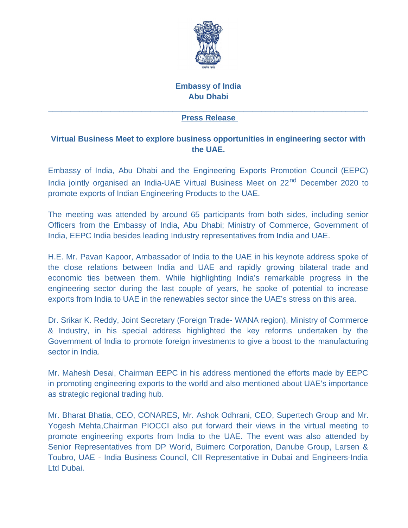

## **Embassy of India Abu Dhabi**

## $\mathcal{L}_\mathcal{L} = \mathcal{L}_\mathcal{L} = \mathcal{L}_\mathcal{L} = \mathcal{L}_\mathcal{L} = \mathcal{L}_\mathcal{L} = \mathcal{L}_\mathcal{L} = \mathcal{L}_\mathcal{L} = \mathcal{L}_\mathcal{L} = \mathcal{L}_\mathcal{L} = \mathcal{L}_\mathcal{L} = \mathcal{L}_\mathcal{L} = \mathcal{L}_\mathcal{L} = \mathcal{L}_\mathcal{L} = \mathcal{L}_\mathcal{L} = \mathcal{L}_\mathcal{L} = \mathcal{L}_\mathcal{L} = \mathcal{L}_\mathcal{L}$ **Press Release**

## **Virtual Business Meet to explore business opportunities in engineering sector with the UAE.**

Embassy of India, Abu Dhabi and the Engineering Exports Promotion Council (EEPC) India jointly organised an India-UAE Virtual Business Meet on 22<sup>nd</sup> December 2020 to promote exports of Indian Engineering Products to the UAE.

The meeting was attended by around 65 participants from both sides, including senior Officers from the Embassy of India, Abu Dhabi; Ministry of Commerce, Government of India, EEPC India besides leading Industry representatives from India and UAE.

H.E. Mr. Pavan Kapoor, Ambassador of India to the UAE in his keynote address spoke of the close relations between India and UAE and rapidly growing bilateral trade and economic ties between them. While highlighting India's remarkable progress in the engineering sector during the last couple of years, he spoke of potential to increase exports from India to UAE in the renewables sector since the UAE's stress on this area.

Dr. Srikar K. Reddy, Joint Secretary (Foreign Trade- WANA region), Ministry of Commerce & Industry, in his special address highlighted the key reforms undertaken by the Government of India to promote foreign investments to give a boost to the manufacturing sector in India.

Mr. Mahesh Desai, Chairman EEPC in his address mentioned the efforts made by EEPC in promoting engineering exports to the world and also mentioned about UAE's importance as strategic regional trading hub.

Mr. Bharat Bhatia, CEO, CONARES, Mr. Ashok Odhrani, CEO, Supertech Group and Mr. Yogesh Mehta,Chairman PIOCCI also put forward their views in the virtual meeting to promote engineering exports from India to the UAE. The event was also attended by Senior Representatives from DP World, Buimerc Corporation, Danube Group, Larsen & Toubro, UAE - India Business Council, CII Representative in Dubai and Engineers-India Ltd Dubai.